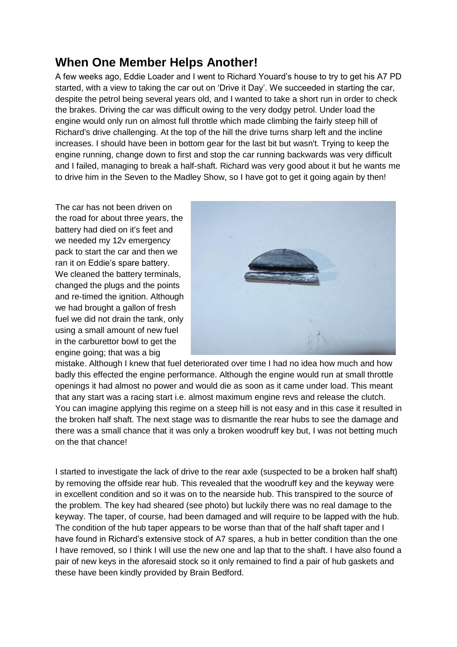## **When One Member Helps Another!**

A few weeks ago, Eddie Loader and I went to Richard Youard's house to try to get his A7 PD started, with a view to taking the car out on 'Drive it Day'. We succeeded in starting the car, despite the petrol being several years old, and I wanted to take a short run in order to check the brakes. Driving the car was difficult owing to the very dodgy petrol. Under load the engine would only run on almost full throttle which made climbing the fairly steep hill of Richard's drive challenging. At the top of the hill the drive turns sharp left and the incline increases. I should have been in bottom gear for the last bit but wasn't. Trying to keep the engine running, change down to first and stop the car running backwards was very difficult and I failed, managing to break a half-shaft. Richard was very good about it but he wants me to drive him in the Seven to the Madley Show, so I have got to get it going again by then!

The car has not been driven on the road for about three years, the battery had died on it's feet and we needed my 12v emergency pack to start the car and then we ran it on Eddie's spare battery. We cleaned the battery terminals, changed the plugs and the points and re-timed the ignition. Although we had brought a gallon of fresh fuel we did not drain the tank, only using a small amount of new fuel in the carburettor bowl to get the engine going; that was a big



mistake. Although I knew that fuel deteriorated over time I had no idea how much and how badly this effected the engine performance. Although the engine would run at small throttle openings it had almost no power and would die as soon as it came under load. This meant that any start was a racing start i.e. almost maximum engine revs and release the clutch. You can imagine applying this regime on a steep hill is not easy and in this case it resulted in the broken half shaft. The next stage was to dismantle the rear hubs to see the damage and there was a small chance that it was only a broken woodruff key but, I was not betting much on the that chance!

I started to investigate the lack of drive to the rear axle (suspected to be a broken half shaft) by removing the offside rear hub. This revealed that the woodruff key and the keyway were in excellent condition and so it was on to the nearside hub. This transpired to the source of the problem. The key had sheared (see photo) but luckily there was no real damage to the keyway. The taper, of course, had been damaged and will require to be lapped with the hub. The condition of the hub taper appears to be worse than that of the half shaft taper and I have found in Richard's extensive stock of A7 spares, a hub in better condition than the one I have removed, so I think I will use the new one and lap that to the shaft. I have also found a pair of new keys in the aforesaid stock so it only remained to find a pair of hub gaskets and these have been kindly provided by Brain Bedford.